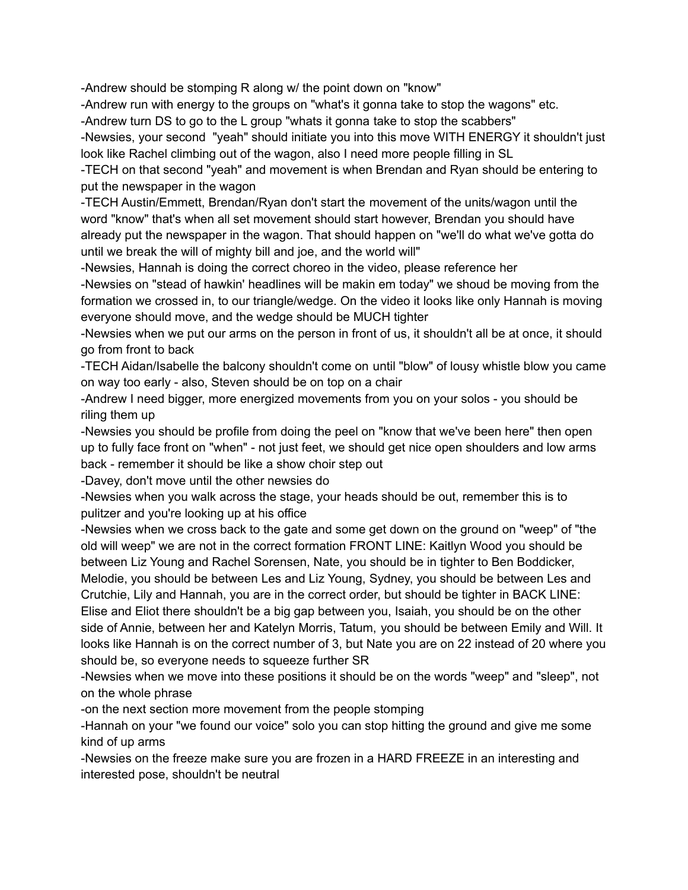-Andrew should be stomping R along w/ the point down on "know"

-Andrew run with energy to the groups on "what's it gonna take to stop the wagons" etc.

-Andrew turn DS to go to the L group "whats it gonna take to stop the scabbers"

-Newsies, your second "yeah" should initiate you into this move WITH ENERGY it shouldn't just look like Rachel climbing out of the wagon, also I need more people filling in SL

-TECH on that second "yeah" and movement is when Brendan and Ryan should be entering to put the newspaper in the wagon

-TECH Austin/Emmett, Brendan/Ryan don't start the movement of the units/wagon until the word "know" that's when all set movement should start however, Brendan you should have already put the newspaper in the wagon. That should happen on "we'll do what we've gotta do until we break the will of mighty bill and joe, and the world will"

-Newsies, Hannah is doing the correct choreo in the video, please reference her

-Newsies on "stead of hawkin' headlines will be makin em today" we shoud be moving from the formation we crossed in, to our triangle/wedge. On the video it looks like only Hannah is moving everyone should move, and the wedge should be MUCH tighter

-Newsies when we put our arms on the person in front of us, it shouldn't all be at once, it should go from front to back

-TECH Aidan/Isabelle the balcony shouldn't come on until "blow" of lousy whistle blow you came on way too early - also, Steven should be on top on a chair

-Andrew I need bigger, more energized movements from you on your solos - you should be riling them up

-Newsies you should be profile from doing the peel on "know that we've been here" then open up to fully face front on "when" - not just feet, we should get nice open shoulders and low arms back - remember it should be like a show choir step out

-Davey, don't move until the other newsies do

-Newsies when you walk across the stage, your heads should be out, remember this is to pulitzer and you're looking up at his office

-Newsies when we cross back to the gate and some get down on the ground on "weep" of "the old will weep" we are not in the correct formation FRONT LINE: Kaitlyn Wood you should be between Liz Young and Rachel Sorensen, Nate, you should be in tighter to Ben Boddicker, Melodie, you should be between Les and Liz Young, Sydney, you should be between Les and Crutchie, Lily and Hannah, you are in the correct order, but should be tighter in BACK LINE: Elise and Eliot there shouldn't be a big gap between you, Isaiah, you should be on the other side of Annie, between her and Katelyn Morris, Tatum, you should be between Emily and Will. It looks like Hannah is on the correct number of 3, but Nate you are on 22 instead of 20 where you should be, so everyone needs to squeeze further SR

-Newsies when we move into these positions it should be on the words "weep" and "sleep", not on the whole phrase

-on the next section more movement from the people stomping

-Hannah on your "we found our voice" solo you can stop hitting the ground and give me some kind of up arms

-Newsies on the freeze make sure you are frozen in a HARD FREEZE in an interesting and interested pose, shouldn't be neutral